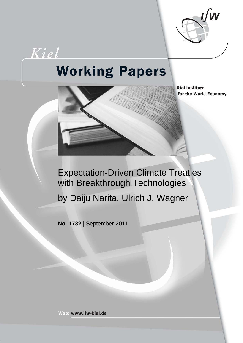

# **Working Papers**

Kiel



**Kiel Institute** for the World Economy

## Expectation-Driven Climate Treaties with Breakthrough Technologies

by Daiju Narita, Ulrich J. Wagner

**No. 1732** | September 2011

Web: www.ifw-kiel.de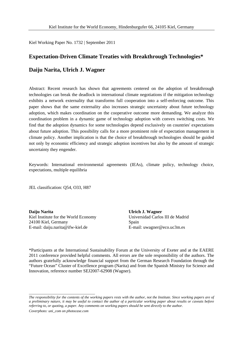Kiel Working Paper No. 1732 | September 2011

# **Expectation-Driven Climate Treaties with Breakthrough Technologies\***

### **Daiju Narita, Ulrich J. Wagner**

Abstract: Recent research has shown that agreements centered on the adoption of breakthrough technologies can break the deadlock in international climate negotiations if the mitigation technology exhibits a network externality that transforms full cooperation into a self-enforcing outcome. This paper shows that the same externality also increases strategic uncertainty about future technology adoption, which makes coordination on the cooperative outcome more demanding. We analyze this coordination problem in a dynamic game of technology adoption with convex switching costs. We find that the adoption dynamics for some technologies depend exclusively on countries' expectations about future adoption. This possibility calls for a more prominent role of expectation management in climate policy. Another implication is that the choice of breakthrough technologies should be guided not only by economic efficiency and strategic adoption incentives but also by the amount of strategic uncertainty they engender.

Keywords: International environmental agreements (IEAs), climate policy, technology choice, expectations, multiple equilibria

JEL classification: Q54, O33, H87

**Daiju Narita** Kiel Institute for the World Economy 24100 Kiel, Germany E-mail: daiju.narita@ifw-kiel.de

**Ulrich J. Wagner** Universidad Carlos III de Madrid Spain E-mail: uwagner@eco.uc3m.es

\*Participants at the International Sustainability Forum at the University of Exeter and at the EAERE 2011 conference provided helpful comments. All errors are the sole responsibility of the authors. The authors gratefully acknowledge financial support from the German Research Foundation through the "Future Ocean" Cluster of Excellence program (Narita) and from the Spanish Ministry for Science and Innovation, reference number SEJ2007-62908 (Wagner).

\_\_\_\_\_\_\_\_\_\_\_\_\_\_\_\_\_\_\_\_\_\_\_\_\_\_\_\_\_\_\_\_\_\_\_\_

*The responsibility for the contents of the working papers rests with the author, not the Institute. Since working papers are of a preliminary nature, it may be useful to contact the author of a particular working paper about results or caveats before referring to, or quoting, a paper. Any comments on working papers should be sent directly to the author.*

*Coverphoto: uni\_com on photocase.com*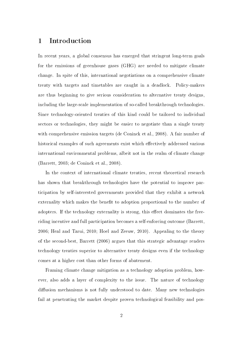## 1 Introduction

In recent years, a global consensus has emerged that stringent long-term goals for the emissions of greenhouse gases (GHG) are needed to mitigate climate change. In spite of this, international negotiations on a comprehensive climate treaty with targets and timetables are caught in a deadlock. Policy-makers are thus beginning to give serious consideration to alternative treaty designs, including the large-scale implementation of so-called breakthrough technologies. Since technology-oriented treaties of this kind could be tailored to individual sectors or technologies, they might be easier to negotiate than a single treaty with comprehensive emission targets (de Coninck et al., 2008). A fair number of historical examples of such agreements exist which effectively addressed various international environmental problems, albeit not in the realm of climate change (Barrett, 2003; de Coninck et al., 2008).

In the context of international climate treaties, recent theoretical research has shown that breakthrough technologies have the potential to improve participation by self-interested governments provided that they exhibit a network externality which makes the benefit to adoption proportional to the number of adopters. If the technology externality is strong, this effect dominates the freeriding incentive and full participation becomes a self-enforcing outcome (Barrett, 2006; Heal and Tarui, 2010; Hoel and Zeeuw, 2010). Appealing to the theory of the second-best, Barrett (2006) argues that this strategic advantage renders technology treaties superior to alternative treaty designs even if the technology comes at a higher cost than other forms of abatement.

Framing climate change mitigation as a technology adoption problem, however, also adds a layer of complexity to the issue. The nature of technology diffusion mechanisms is not fully understood to date. Many new technologies fail at penetrating the market despite proven technological feasibility and pos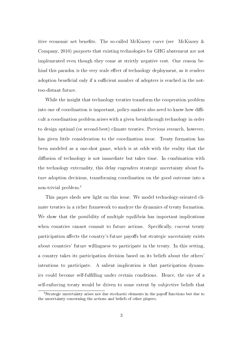itive economic net benefits. The so-called McKinsey curve (see McKinsey  $\&$ Company, 2010) purports that existing technologies for GHG abatement are not implemented even though they come at strictly negative cost. One reason behind this paradox is the very scale effect of technology deployment, as it renders adoption beneficial only if a sufficient number of adopters is reached in the nottoo-distant future.

While the insight that technology treaties transform the cooperation problem into one of coordination is important, policy-makers also need to know how difficult a coordination problem arises with a given breakthrough technology in order to design optimal (or second-best) climate treaties. Previous research, however, has given little consideration to the coordination issue. Treaty formation has been modeled as a one-shot game, which is at odds with the reality that the diffusion of technology is not immediate but takes time. In combination with the technology externality, this delay engenders strategic uncertainty about future adoption decisions, transforming coordination on the good outcome into a non-trivial problem.<sup>1</sup>

This paper sheds new light on this issue. We model technology-oriented climate treaties in a richer framework to analyze the dynamics of treaty formation. We show that the possibility of multiple equilibria has important implications when countries cannot commit to future actions. Specifically, current treaty participation affects the country's future payoffs but strategic uncertainty exists about countries' future willingness to participate in the treaty. In this setting, a country takes its participation decision based on its beliefs about the others' intentions to participate. A salient implication is that participation dynamics could become self-fullling under certain conditions. Hence, the size of a self-enforcing treaty would be driven to some extent by subjective beliefs that

<sup>&</sup>lt;sup>1</sup>Strategic uncertainty arises not due stochastic elements in the payoff functions but due to the uncertainty concerning the actions and beliefs of other players.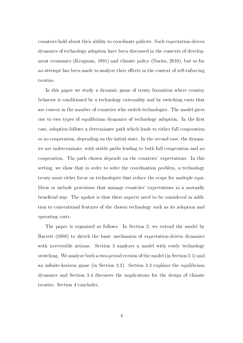countries hold about their ability to coordinate policies. Such expectation-driven dynamics of technology adoption have been discussed in the contexts of development economics (Krugman, 1991) and climate policy (Narita, 2010), but so far no attempt has been made to analyze their effects in the context of self-enforcing treaties.

In this paper we study a dynamic game of treaty formation where country behavior is conditioned by a technology externality and by switching costs that are convex in the number of countries who switch technologies. The model gives rise to two types of equilibrium dynamics of technology adoption. In the first case, adoption follows a determinate path which leads to either full cooperation or no cooperation, depending on the initial state. In the second case, the dynamics are indeterminate, with stable paths leading to both full cooperation and no cooperation. The path chosen depends on the countries' expectations. In this setting, we show that in order to solve the coordination problem, a technology treaty must either focus on technologies that reduce the scope for multiple equilibria or include provisions that manage countries' expectations in a mutually beneficial way. The upshot is that these aspects need to be considered in addition to conventional features of the chosen technology such as its adoption and operating costs.

The paper is organized as follows. In Section 2, we extend the model by Barrett (2006) to sketch the basic mechanism of expectation-driven dynamics with irreversible actions. Section 3 analyzes a model with costly technology switching. We analyze both a two-period version of the model (in Section 3.1) and an infinite-horizon game (in Section 3.2). Section 3.3 explains the equilibrium dynamics and Section 3.4 discusses the implications for the design of climate treaties. Section 4 concludes.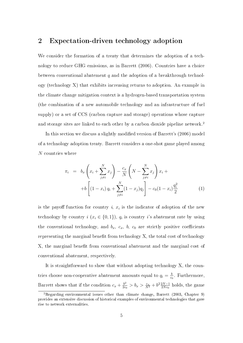### 2 Expectation-driven technology adoption

We consider the formation of a treaty that determines the adoption of a technology to reduce GHG emissions, as in Barrett (2006). Countries have a choice between conventional abatement  $q$  and the adoption of a breakthrough technology (technology X) that exhibits increasing returns to adoption. An example in the climate change mitigation context is a hydrogen-based transportation system (the combination of a new automobile technology and an infrastructure of fuel supply) or a set of CCS (carbon capture and storage) operations whose capture and storage sites are linked to each other by a carbon dioxide pipeline network.<sup>2</sup>

In this section we discuss a slightly modied version of Barrett's (2006) model of a technology adoption treaty. Barrett considers a one-shot game played among N countries where

$$
\pi_i = b_x \left( x_i + \sum_{j \neq i}^N x_j \right) - \frac{c_x}{N} \left( N - \sum_{j \neq i}^N x_j \right) x_i +
$$
  
+ 
$$
b \left[ (1 - x_i) q_i + \sum_{j \neq i}^N (1 - x_j) q_j \right] - c_0 (1 - x_i) \frac{q_i^2}{2}
$$
 (1)

is the payoff function for country i,  $x_i$  is the indicator of adoption of the new technology by country  $i (x_i \in \{0,1\})$ ,  $q_i$  is country i's abatement rate by using the conventional technology, and  $b_x$ ,  $c_x$ ,  $b$ ,  $c_0$  are strictly positive coefficients representing the marginal benefit from technology  $X$ , the total cost of technology X, the marginal benefit from conventional abatement and the marginal cost of conventional abatement, respectively.

It is straightforward to show that without adopting technology X, the countries choose non-cooperative abatement amounts equal to  $q_i = \frac{b}{c}$  $\frac{b}{c_0}$ . Furthermore, Barrett shows that if the condition  $c_x + \frac{b^2}{2c}$  $\frac{b^2}{2c_0} > b_x > \frac{c_x}{N^2} + b^2 \frac{2N-1}{2Nc_0}$  $\frac{2N-1}{2Nc_0}$  holds, the game

<sup>2</sup>Regarding environmental issues other than climate change, Barrett (2003, Chapter 9) provides an extensive discussion of historical examples of environmental technologies that gave rise to network externalities.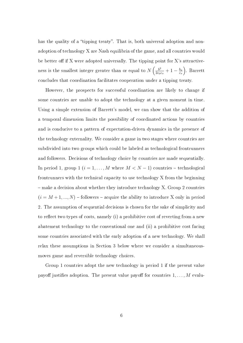has the quality of a "tipping treaty". That is, both universal adoption and nonadoption of technology X are Nash equilibria of the game, and all countries would be better off if X were adopted universally. The tipping point for X's attractiveness is the smallest integer greater than or equal to  $N\left(\frac{b^2}{2\alpha} \right)$  $\frac{b^2}{2c_0c_x}+1-\frac{b_x}{c_x}$  $c_x$  . Barrett concludes that coordination facilitates cooperation under a tipping treaty.

However, the prospects for successful coordination are likely to change if some countries are unable to adopt the technology at a given moment in time. Using a simple extension of Barrett's model, we can show that the addition of a temporal dimension limits the possibility of coordinated actions by countries and is conducive to a pattern of expectation-driven dynamics in the presence of the technology externality. We consider a game in two stages where countries are subdivided into two groups which could be labeled as technological frontrunners and followers. Decisions of technology choice by countries are made sequentially. In period 1, group 1  $(i = 1, ..., M$  where  $M < N - 1$ ) countries - technological frontrunners with the technical capacity to use technology X from the beginning make a decision about whether they introduce technology X. Group 2 countries  $(i = M + 1, ..., N)$  – followers – acquire the ability to introduce X only in period 2. The assumption of sequential decisions is chosen for the sake of simplicity and to reflect two types of costs, namely  $(i)$  a prohibitive cost of reverting from a new abatement technology to the conventional one and (ii) a prohibitive cost facing some countries associated with the early adoption of a new technology. We shall relax these assumptions in Section 3 below where we consider a simultaneousmoves game and reversible technology choices.

Group 1 countries adopt the new technology in period 1 if the present value payoff justifies adoption. The present value payoff for countries  $1, \ldots, M$  evalu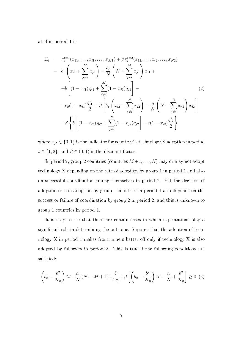ated in period 1 is

$$
\Pi_{i} = \pi_{i}^{t=1}(x_{11},...,x_{i1},...,x_{M1}) + \beta \pi_{i}^{t=2}(x_{12},...,x_{i2},...,x_{N2})
$$
\n
$$
= b_{x} \left( x_{i1} + \sum_{j \neq i}^{M} x_{j1} \right) - \frac{c_{x}}{N} \left( N - \sum_{j \neq i}^{M} x_{j1} \right) x_{i1} +
$$
\n
$$
+ b \left[ (1 - x_{i1}) q_{i1} + \sum_{j \neq i}^{M} (1 - x_{j1}) q_{j1} \right] -
$$
\n
$$
- c_{0} (1 - x_{i1}) \frac{q_{i1}^{2}}{2} + \beta \left[ b_{x} \left( x_{i2} + \sum_{j \neq i}^{N} x_{j2} \right) - \frac{c_{x}}{N} \left( N - \sum_{j \neq i}^{N} x_{j2} \right) x_{i2} \right]
$$
\n
$$
+ \beta \left\{ b \left[ (1 - x_{i2}) q_{i2} + \sum_{j \neq i}^{N} (1 - x_{j2}) q_{j2} \right] - c (1 - x_{i2}) \frac{q_{i2}^{2}}{2} \right\}
$$
\n(1)

where  $x_{jt} \in \{0, 1\}$  is the indicator for country j's technology X adoption in period  $t\in\{1,2\},$  and  $\beta\in(0,1)$  is the discount factor.

In period 2, group 2 countries (countries  $M+1, \ldots, N$ ) may or may not adopt technology X depending on the rate of adoption by group 1 in period 1 and also on successful coordination among themselves in period 2. Yet the decision of adoption or non-adoption by group 1 countries in period 1 also depends on the success or failure of coordination by group 2 in period 2, and this is unknown to group 1 countries in period 1.

It is easy to see that there are certain cases in which expectations play a significant role in determining the outcome. Suppose that the adoption of technology  $X$  in period 1 makes frontrunners better off only if technology  $X$  is also adopted by followers in period 2. This is true if the following conditions are satisfied:

$$
\left(b_x - \frac{b^2}{2c_0}\right)M - \frac{c_x}{N}(N - M + 1) + \frac{b^2}{2c_0} + \beta \left[\left(b_x - \frac{b^2}{2c_0}\right)N - \frac{c_x}{N} + \frac{b^2}{2c_0}\right] \ge 0
$$
 (3)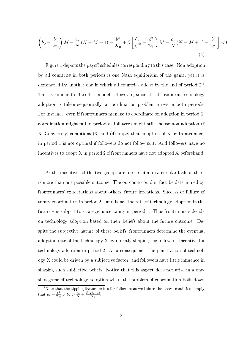$$
\left(b_x - \frac{b^2}{2c_0}\right)M - \frac{c_x}{N}(N - M + 1) + \frac{b^2}{2c_0} + \beta \left[ \left(b_x - \frac{b^2}{2c_0}\right)M - \frac{c_x}{N}(N - M + 1) + \frac{b^2}{2c_0} \right] < 0\tag{4}
$$

Figure 1 depicts the payoff schedules corresponding to this case. Non-adoption by all countries in both periods is one Nash equilibrium of the game, yet it is dominated by another one in which all countries adopt by the end of period 2.<sup>3</sup> This is similar to Barrett's model. However, since the decision on technology adoption is taken sequentially, a coordination problem arises in both periods. For instance, even if frontrunners manage to coordinate on adoption in period 1, coordination might fail in period as followers might still choose non-adoption of X. Conversely, conditions (3) and (4) imply that adoption of X by frontrunners in period 1 is not optimal if followers do not follow suit. And followers have no incentives to adopt X in period 2 if frontrunners have not adopted X beforehand.

As the incentives of the two groups are interrelated in a circular fashion there is more than one possible outcome. The outcome could in fact be determined by frontrunners' expectations about others' future intentions. Success or failure of treaty coordination in period  $2$  – and hence the rate of technology adoption in the future  $-$  is subject to strategic uncertainty in period 1. Thus frontrunners decide on technology adoption based on their beliefs about the future outcome. Despite the subjective nature of these beliefs, frontrunners determine the eventual adoption rate of the technology X by directly shaping the followers' incentive for technology adoption in period 2. As a consequence, the penetration of technol- $\log y$  X could be driven by a subjective factor, and followers have little influence in shaping such subjective beliefs. Notice that this aspect does not arise in a oneshot game of technology adoption where the problem of coordination boils down

<sup>&</sup>lt;sup>3</sup>Note that the tipping feature exists for followers as well since the above conditions imply that  $c_x + \frac{b^2}{2c}$  $\frac{b^2}{2c_0} > b_x > \frac{c_x}{N} + \frac{b^2(2N-1)}{2c_0}$  $\frac{2N-1)}{2c_0}$ .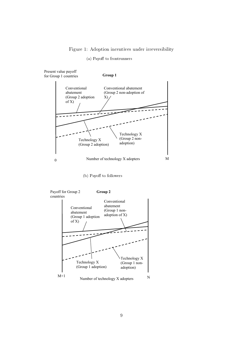#### Figure 1: Adoption incentives under irreversibility

#### (a) Payoff to frontrunners



(b) Payoff to followers

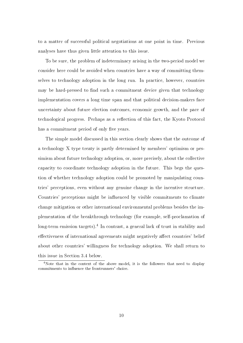to a matter of successful political negotiations at one point in time. Previous analyses have thus given little attention to this issue.

To be sure, the problem of indeterminacy arising in the two-period model we consider here could be avoided when countries have a way of committing themselves to technology adoption in the long run. In practice, however, countries may be hard-pressed to find such a commitment device given that technology implementation covers a long time span and that political decision-makers face uncertainty about future election outcomes, economic growth, and the pace of technological progress. Perhaps as a reflection of this fact, the Kyoto Protocol has a commitment period of only five years.

The simple model discussed in this section clearly shows that the outcome of a technology X type treaty is partly determined by members' optimism or pessimism about future technology adoption, or, more precisely, about the collective capacity to coordinate technology adoption in the future. This begs the question of whether technology adoption could be promoted by manipulating countries' perceptions, even without any genuine change in the incentive structure. Countries' perceptions might be influenced by visible commitments to climate change mitigation or other international environmental problems besides the implementation of the breakthrough technology (for example, self-proclamation of long-term emission targets).<sup>4</sup> In contrast, a general lack of trust in stability and effectiveness of international agreements might negatively affect countries' belief about other countries' willingness for technology adoption. We shall return to this issue in Section 3.4 below.

<sup>&</sup>lt;sup>4</sup>Note that in the context of the above model, it is the followers that need to display commitments to influence the frontrunners' choice.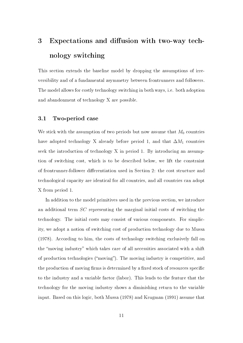## 3 Expectations and diffusion with two-way technology switching

This section extends the baseline model by dropping the assumptions of irreversibility and of a fundamental asymmetry between frontrunners and followers. The model allows for costly technology switching in both ways, i.e. both adoption and abandonment of technology X are possible.

#### 3.1 Two-period case

We stick with the assumption of two periods but now assume that  $M_0$  countries have adopted technology X already before period 1, and that  $\Delta M_1$  countries seek the introduction of technology X in period 1. By introducing an assumption of switching cost, which is to be described below, we lift the constraint of frontrunner-follower differentiation used in Section 2: the cost structure and technological capacity are identical for all countries, and all countries can adopt X from period 1.

In addition to the model primitives used in the previous section, we introduce an additional term SC representing the marginal initial costs of switching the technology. The initial costs may consist of various components. For simplicity, we adopt a notion of switching cost of production technology due to Mussa (1978). According to him, the costs of technology switching exclusively fall on the "moving industry" which takes care of all necessities associated with a shift of production technologies (moving). The moving industry is competitive, and the production of moving firms is determined by a fixed stock of resources specific to the industry and a variable factor (labor). This leads to the feature that the technology for the moving industry shows a diminishing return to the variable input. Based on this logic, both Mussa (1978) and Krugman (1991) assume that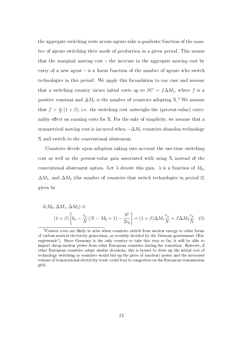the aggregate switching costs across agents take a quadratic function of the number of agents switching their mode of production in a given period. This means that the marginal moving  $cost - the$  increase in the aggregate moving cost by entry of a new agent  $-$  is a linear function of the number of agents who switch technologies in this period. We apply this formulation to our case and assume that a switching country incurs initial costs up to  $SC = f\Delta M_1$ , where f is a positive constant and  $\Delta M_1$  is the number of countries adopting X.<sup>5</sup> We assume that  $f > \frac{c_x}{N}(1+\beta)$ , i.e. the switching cost outweighs the (present-value) externality effect on running costs for X. For the sake of simplicity, we assume that a symmetrical moving cost is incurred when  $-\Delta M_1$  countries abandon technology X and switch to the conventional abatement.

Countries decide upon adoption taking into account the one-time switching cost as well as the present-value gain associated with using X instead of the conventional abatement option. Let  $\lambda$  denote this gain.  $\lambda$  is a function of  $M_0$ .  $\Delta M_1$ , and  $\Delta M_2$  (the number of countries that switch technologies in period 2) given by

$$
\lambda(M_0, \Delta M_1, \Delta M_2) \equiv
$$
  

$$
(1+\beta) \left[ b_x - \frac{c_x}{N} (N - M_0 + 1) - \frac{b^2}{2c_0} \right] + (1+\beta) \Delta M_1 \frac{c_x}{N} + \beta \Delta M_2 \frac{c_x}{N} \tag{5}
$$

<sup>5</sup>Convex costs are likely to arise when countries switch from nuclear energy to other forms of carbon-neutral electricity generation, as recently decided by the German government (Energiewende"). Since Germany is the only country to take this step so far, it will be able to import cheap nuclear power from other European countries during the transition. However, if other European countries adopt similar decisions, this is bound to drive up the initial cost of technology switching as countries would bid up the price of (nuclear) power and the increased volume of transnational electricity trade could lead to congestion on the European transmission grid.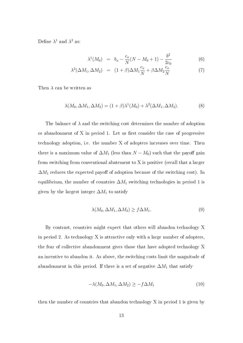Define  $\lambda^1$  and  $\lambda^2$  as:

$$
\lambda^1(M_0) = b_x - \frac{c_x}{N}(N - M_0 + 1) - \frac{b^2}{2c_0}
$$
 (6)

$$
\lambda^2(\Delta M_1, \Delta M_2) = (1+\beta)\Delta M_1 \frac{c_x}{N} + \beta \Delta M_2 \frac{c_x}{N}
$$
 (7)

Then  $\lambda$  can be written as

$$
\lambda(M_0, \Delta M_1, \Delta M_2) = (1+\beta)\lambda^1(M_0) + \lambda^2(\Delta M_1, \Delta M_2). \tag{8}
$$

The balance of  $\lambda$  and the switching cost determines the number of adoption or abandonment of X in period 1. Let us first consider the case of progressive technology adoption, i.e. the number X of adopters increases over time. Then there is a maximum value of  $\Delta M_1$  (less than  $N - M_0$ ) such that the payoff gain from switching from conventional abatement to X is positive (recall that a larger  $\Delta M_1$  reduces the expected payoff of adoption because of the switching cost). In equilibrium, the number of countries  $\Delta M_1$  switching technologies in period 1 is given by the largest integer  $\Delta M_1$  to satisfy

$$
\lambda(M_0, \Delta M_1, \Delta M_2) \ge f \Delta M_1. \tag{9}
$$

By contrast, countries might expect that others will abandon technology X in period 2. As technology  $X$  is attractive only with a large number of adopters the fear of collective abandonment gives those that have adopted technology X an incentive to abandon it. As above, the switching costs limit the magnitude of abandonment in this period. If there is a set of negative  $\Delta M_1$  that satisfy

$$
-\lambda(M_0, \Delta M_1, \Delta M_2) \ge -f \Delta M_1 \tag{10}
$$

then the number of countries that abandon technology X in period 1 is given by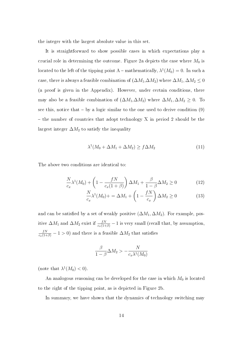the integer with the largest absolute value in this set.

It is straightforward to show possible cases in which expectations play a crucial role in determining the outcome. Figure 2a depicts the case where  $M_0$  is located to the left of the tipping point A – mathematically,  $\lambda^1(M_0)=0$ . In such a case, there is always a feasible combination of  $(\Delta M_1, \Delta M_2)$  where  $\Delta M_1, \Delta M_2 \leq 0$ (a proof is given in the Appendix). However, under certain conditions, there may also be a feasible combination of  $(\Delta M_1, \Delta M_2)$  where  $\Delta M_1, \Delta M_2 \geq 0$ . To see this, notice that  $-$  by a logic similar to the one used to derive condition  $(9)$  $-$  the number of countries that adopt technology X in period 2 should be the largest integer  $\Delta M_2$  to satisfy the inequality

$$
\lambda^1(M_0 + \Delta M_1 + \Delta M_2) \ge f \Delta M_2 \tag{11}
$$

The above two conditions are identical to:

$$
\frac{N}{c_x}\lambda^1(M_0) + \left(1 - \frac{fN}{c_x(1+\beta)}\right)\Delta M_1 + \frac{\beta}{1-\beta}\Delta M_2 \ge 0\tag{12}
$$

$$
\frac{N}{c_x}\lambda^1(M_0) + \lambda M_1 + \left(1 - \frac{fN}{c_x}\right)\Delta M_2 \ge 0 \tag{13}
$$

and can be satisfied by a set of weakly positive  $(\Delta M_1, \Delta M_2)$ . For example, positive  $\Delta M_1$  and  $\Delta M_2$  exist if  $\frac{fN}{c_x(1+\beta)} - 1$  is very small (recall that, by assumption,  $\frac{fN}{c_x(1+\beta)} - 1 > 0$ ) and there is a feasible  $\Delta M_2$  that satisfies

$$
\frac{\beta}{1-\beta}\Delta M_2>-\frac{N}{c_x\lambda^1(M_0)}
$$

(note that  $\lambda^1(M_0) < 0$ ).

An analogous reasoning can be developed for the case in which  $M_0$  is located to the right of the tipping point, as is depicted in Figure 2b.

In summary, we have shown that the dynamics of technology switching may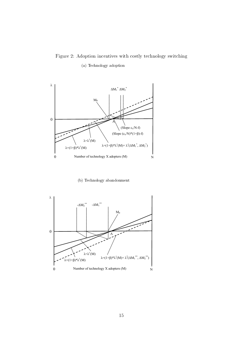## Figure 2: Adoption incentives with costly technology switching (a) Technology adoption



(b) Technology abandonment

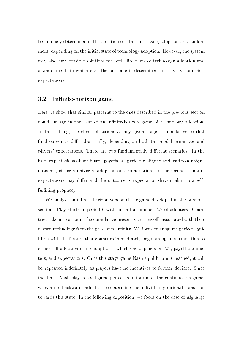be uniquely determined in the direction of either increasing adoption or abandonment, depending on the initial state of technology adoption. However, the system may also have feasible solutions for both directions of technology adoption and abandonment, in which case the outcome is determined entirely by countries' expectations.

#### 3.2 Infinite-horizon game

Here we show that similar patterns to the ones described in the previous section could emerge in the case of an infinite-horizon game of technology adoption. In this setting, the effect of actions at any given stage is cumulative so that final outcomes differ drastically, depending on both the model primitives and players' expectations. There are two fundamentally different scenarios. In the first, expectations about future payoffs are perfectly aligned and lead to a unique outcome, either a universal adoption or zero adoption. In the second scenario, expectations may differ and the outcome is expectation-driven, akin to a selffulfilling prophecy.

We analyze an infinite-horizon version of the game developed in the previous section. Play starts in period 0 with an initial number  $M_0$  of adopters. Countries take into account the cumulative present-value payoffs associated with their chosen technology from the present to infinity. We focus on subgame perfect equilibria with the feature that countries immediately begin an optimal transition to either full adoption or no adoption – which one depends on  $M_0$ , payoff parameters, and expectations. Once this stage-game Nash equilibrium is reached, it will be repeated indefinitely as players have no incentives to further deviate. Since indefinite Nash play is a subgame perfect equilibrium of the continuation game. we can use backward induction to determine the individually rational transition towards this state. In the following exposition, we focus on the case of  $M_0$  large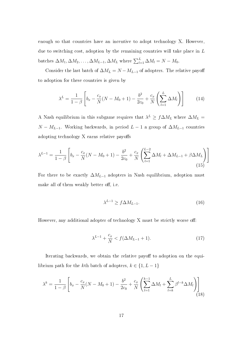enough so that countries have an incentive to adopt technology X. However, due to switching cost, adoption by the remaining countries will take place in  $L$ batches  $\Delta M_1, \Delta M_2, \ldots, \Delta M_{L-1}, \Delta M_L$  where  $\sum_{l=1}^{L} \Delta M_l = N - M_0$ .

Consider the last batch of  $\Delta M_L = N - M_{L-1}$  of adopters. The relative payoff to adoption for these countries is given by

$$
\lambda^{L} = \frac{1}{1-\beta} \left[ b_x - \frac{c_x}{N} (N - M_0 + 1) - \frac{b^2}{2c_0} + \frac{c_x}{N} \left( \sum_{l=1}^{L} \Delta M_l \right) \right]
$$
(14)

A Nash equilibrium in this subgame requires that  $\lambda^L \geq f \Delta M_L$  where  $\Delta M_L =$  $N - M_{L-1}$ . Working backwards, in period  $L - 1$  a group of  $\Delta M_{L-1}$  countries adopting technology X earns relative payoffs

$$
\lambda^{L-1} = \frac{1}{1-\beta} \left[ b_x - \frac{c_x}{N} (N - M_0 + 1) - \frac{b^2}{2c_0} + \frac{c_x}{N} \left( \sum_{l=1}^{L-2} \Delta M_l + \Delta M_{L-1} + \beta \Delta M_L \right) \right]
$$
\n(15)

For there to be exactly  $\Delta M_{L-1}$  adopters in Nash equilibrium, adoption must make all of them weakly better off, i.e.

$$
\lambda^{L-1} \ge f \Delta M_{L-1}.\tag{16}
$$

However, any additional adopter of technology  $X$  must be strictly worse off:

$$
\lambda^{L-1} + \frac{c_x}{N} < f(\Delta M_{L-1} + 1). \tag{17}
$$

Iterating backwards, we obtain the relative payoff to adoption on the equilibrium path for the *k*<sup>th</sup> batch of adopters,  $k \in \{1, L - 1\}$ 

$$
\lambda^{k} = \frac{1}{1-\beta} \left[ b_x - \frac{c_x}{N} (N - M_0 + 1) - \frac{b^2}{2c_0} + \frac{c_x}{N} \left( \sum_{l=1}^{k-1} \Delta M_l + \sum_{l=k}^{L} \beta^{l-k} \Delta M_l \right) \right]
$$
(18)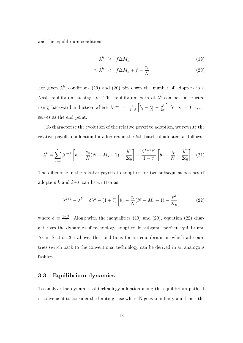and the equilibrium conditions

$$
\lambda^k \ge f \Delta M_k \tag{19}
$$

$$
\wedge \lambda^k \quad < \quad f \Delta M_k + f - \frac{c_x}{N} \tag{20}
$$

For given  $\lambda^k$ , conditions (19) and (20) pin down the number of adopters in a Nash equilibrium at stage k. The equilibrium path of  $\lambda^k$  can be constructed using backward induction where  $\lambda^{L+s} = \frac{1}{1-s}$  $\frac{1}{1-\beta}\left[b_x - \frac{c_x}{N} - \frac{b^2}{2c_0}\right]$  $2c_0$  $\Big\}$  for  $s = 0, 1, \ldots$ serves as the end point.

To characterize the evolution of the relative payoff to adoption, we rewrite the relative payoff to adoption for adopters in the kth batch of adopters as follows

$$
\lambda^{k} = \sum_{s=k}^{L} \beta^{s-k} \left[ b_{x} - \frac{c_{x}}{N} (N - M_{s} + 1) - \frac{b^{2}}{2c_{0}} \right] + \frac{\beta^{L-k+1}}{1 - \beta} \left[ b_{x} - \frac{c_{x}}{N} - \frac{b^{2}}{2c_{0}} \right] \tag{21}
$$

The difference in the relative payoffs to adoption for two subsequent batches of adopters k and  $k+1$  can be written as

$$
\lambda^{k+1} - \lambda^k = \delta \lambda^k - (1+\delta) \left[ b_x - \frac{c_x}{N} (N - M_k + 1) - \frac{b^2}{2c_0} \right]
$$
 (22)

where  $\delta \equiv \frac{1-\beta}{\beta}$  $\frac{-\beta}{\beta}$ . Along with the inequalities (19) and (20), equation (22) characterizes the dynamics of technology adoption in subgame perfect equilibrium. As in Section 3.1 above, the conditions for an equilibrium in which all countries switch back to the conventional technology can be derived in an analogous fashion.

#### 3.3 Equilibrium dynamics

To analyze the dynamics of technology adoption along the equilibrium path, it is convenient to consider the limiting case where N goes to infinity and hence the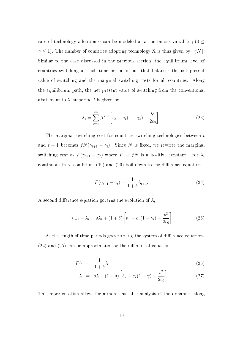rate of technology adoption  $\gamma$  can be modeled as a continuous variable  $\gamma$  (0  $\leq$  $\gamma \leq 1$ ). The number of countries adopting technology X is thus given by  $\lceil \gamma N \rceil$ . Similar to the case discussed in the previous section, the equilibrium level of countries switching at each time period is one that balances the net present value of switching and the marginal switching costs for all countries. Along the equilibrium path, the net present value of switching from the conventional abatement to  $X$  at period  $t$  is given by

$$
\lambda_t = \sum_{s=t}^{\infty} \beta^{s-t} \left[ b_x - c_x (1 - \gamma_s) - \frac{b^2}{2c_0} \right]. \tag{23}
$$

The marginal switching cost for countries switching technologies between t and  $t + 1$  becomes  $fN(\gamma_{t+1} - \gamma_t)$ . Since N is fixed, we rewrite the marginal switching cost as  $F(\gamma_{t+1} - \gamma_t)$  where  $F \equiv fN$  is a positive constant. For  $\lambda_t$ continuous in  $\gamma$ , conditions (19) and (20) boil down to the difference equation

$$
F(\gamma_{t+1} - \gamma_t) = \frac{1}{1+\delta} \lambda_{t+1}.
$$
\n(24)

A second difference equation governs the evolution of  $\lambda_t$ 

$$
\lambda_{t+1} - \lambda_t = \delta \lambda_t + (1+\delta) \left[ b_x - c_x (1-\gamma_t) - \frac{b^2}{2c_0} \right]
$$
 (25)

As the length of time periods goes to zero, the system of difference equations  $(24)$  and  $(25)$  can be approximated by the differential equations

$$
F\dot{\gamma} = \frac{1}{1+\delta}\lambda\tag{26}
$$

$$
\dot{\lambda} = \delta\lambda + (1+\delta) \left[ b_x - c_x (1-\gamma) - \frac{b^2}{2c_0} \right] \tag{27}
$$

This representation allows for a more tractable analysis of the dynamics along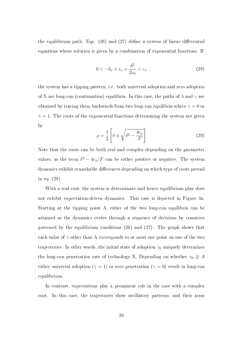the equilibrium path. Eqs.  $(26)$  and  $(27)$  define a system of linear differential equations whose solution is given by a combination of exponential functions. If

$$
0 < -b_x + c_x + \frac{b^2}{2c_0} < c_x \tag{28}
$$

the system has a tipping pattern, i.e. both universal adoption and zero adoption of X are long-run (continuation) equilibria. In this case, the paths of  $\lambda$  and  $\gamma$  are obtained by tracing them backwards from two long-run equilibria where  $\gamma = 0$  or  $\gamma = 1$ . The roots of the exponential functions determining the system are given by

$$
\rho = \frac{1}{2} \left[ \delta \pm \sqrt{\delta^2 - \frac{4c_x}{F}} \right]
$$
\n(29)

Note that the roots can be both real and complex depending on the parameter values, as the term  $\delta^2 - 4c_x/F$  can be either positive or negative. The system dynamics exhibit remarkable differences depending on which type of roots prevail in eq. (29).

With a real root, the system is determinate and hence equilibrium play does not exhibit expectation-driven dynamics. This case is depicted in Figure 3a. Starting at the tipping point A, either of the two long-run equilibria can be attained as the dynamics evolve through a sequence of decisions by countries governed by the equilibrium conditions (26) and (27). The graph shows that each value of  $\gamma$  other than A corresponds to at most one point on one of the two trajectories. In other words, the initial state of adoption  $\gamma_0$  uniquely determines the long-run penetration rate of technology X. Depending on whether  $\gamma_0 \geq A$ either universal adoption ( $\gamma = 1$ ) or zero penetration ( $\gamma = 0$ ) result in long-run equilibrium.

In contrast, expectations play a prominent role in the case with a complex root. In this case, the trajectories show oscillatory patterns, and their arms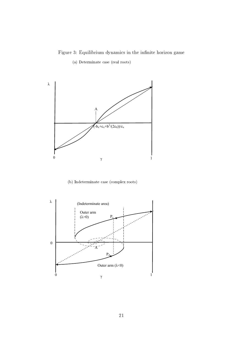Figure 3: Equilibrium dynamics in the infinite horizon game

(a) Determinate case (real roots)



(b) Indeterminate case (complex roots)

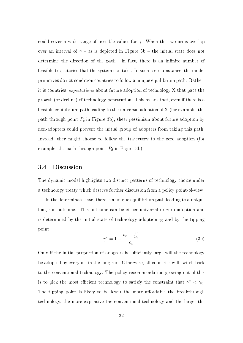could cover a wide range of possible values for  $\gamma$ . When the two arms overlap over an interval of  $\gamma$  – as is depicted in Figure 3b – the initial state does not determine the direction of the path. In fact, there is an infinite number of feasible trajectories that the system can take. In such a circumstance, the model primitives do not condition countries to follow a unique equilibrium path. Rather, it is countries' expectations about future adoption of technology X that pace the growth (or decline) of technology penetration. This means that, even if there is a feasible equilibrium path leading to the universal adoption of X (for example, the path through point  $P_c$  in Figure 3b), sheer pessimism about future adoption by non-adopters could prevent the initial group of adopters from taking this path. Instead, they might choose to follow the trajectory to the zero adoption (for example, the path through point  $P_d$  in Figure 3b).

#### 3.4 Discussion

The dynamic model highlights two distinct patterns of technology choice under a technology treaty which deserve further discussion from a policy point-of-view.

In the determinate case, there is a unique equilibrium path leading to a unique long-run outcome. This outcome can be either universal or zero adoption and is determined by the initial state of technology adoption  $\gamma_0$  and by the tipping point

$$
\gamma^* = 1 - \frac{b_x - \frac{b^2}{2c_0}}{c_x} \tag{30}
$$

Only if the initial proportion of adopters is sufficiently large will the technology be adopted by everyone in the long run. Otherwise, all countries will switch back to the conventional technology. The policy recommendation growing out of this is to pick the most efficient technology to satisfy the constraint that  $\gamma^* < \gamma_0$ . The tipping point is likely to be lower the more affordable the breakthrough technology, the more expensive the conventional technology and the larger the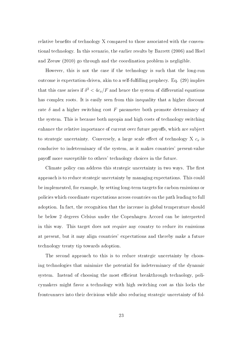relative benefits of technology X compared to those associated with the conventional technology. In this scenario, the earlier results by Barrett (2006) and Hoel and Zeeuw (2010) go through and the coordination problem is negligible.

However, this is not the case if the technology is such that the long-run outcome is expectation-driven, akin to a self-fullling prophecy. Eq. (29) implies that this case arises if  $\delta^2 < 4c_x/F$  and hence the system of differential equations has complex roots. It is easily seen from this inequality that a higher discount rate  $\delta$  and a higher switching cost F parameter both promote determinacy of the system. This is because both myopia and high costs of technology switching enhance the relative importance of current over future payoffs, which are subject to strategic uncertainty. Conversely, a large scale effect of technology X  $c_x$  is conducive to indeterminacy of the system, as it makes countries' present-value payoff more susceptible to others' technology choices in the future.

Climate policy can address this strategic uncertainty in two ways. The first approach is to reduce strategic uncertainty by managing expectations. This could be implemented, for example, by setting long-term targets for carbon emissions or policies which coordinate expectations across countries on the path leading to full adoption. In fact, the recognition that the increase in global temperature should be below 2 degrees Celsius under the Copenhagen Accord can be interpreted in this way. This target does not require any country to reduce its emissions at present, but it may align countries' expectations and thereby make a future technology treaty tip towards adoption.

The second approach to this is to reduce strategic uncertainty by choosing technologies that minimize the potential for indeterminacy of the dynamic system. Instead of choosing the most efficient breakthrough technology, policymakers might favor a technology with high switching cost as this locks the frontrunners into their decisions while also reducing strategic uncertainty of fol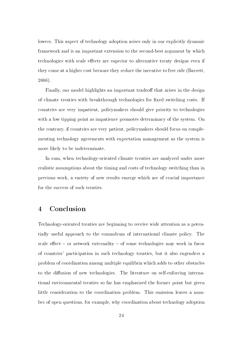lowers. This aspect of technology adoption arises only in our explicitly dynamic framework and is an important extension to the second-best argument by which technologies with scale effects are superior to alternative treaty designs even if they come at a higher cost because they reduce the incentive to free ride (Barrett, 2006).

Finally, our model highlights an important tradeoff that arises in the design of climate treaties with breakthrough technologies for fixed switching costs. If countries are very impatient, policymakers should give priority to technologies with a low tipping point as impatience promotes determinacy of the system. On the contrary, if countries are very patient, policymakers should focus on complementing technology agreements with expectation management as the system is more likely to be indeterminate.

In sum, when technology-oriented climate treaties are analyzed under more realistic assumptions about the timing and costs of technology switching than in previous work, a variety of new results emerge which are of crucial importance for the success of such treaties.

## 4 Conclusion

Technology-oriented treaties are beginning to receive wide attention as a potentially useful approach to the conundrum of international climate policy. The scale effect  $-$  or network externality  $-$  of some technologies may work in favor of countries' participation in such technology treaties, but it also engenders a problem of coordination among multiple equilibria which adds to other obstacles to the diffusion of new technologies. The literature on self-enforcing international environmental treaties so far has emphasized the former point but given little consideration to the coordination problem. This omission leaves a number of open questions, for example, why coordination about technology adoption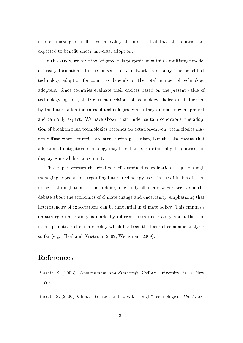is often missing or ineffective in reality, despite the fact that all countries are expected to benefit under universal adoption.

In this study, we have investigated this proposition within a multistage model of treaty formation. In the presence of a network externality, the benefit of technology adoption for countries depends on the total number of technology adopters. Since countries evaluate their choices based on the present value of technology options, their current decisions of technology choice are influenced by the future adoption rates of technologies, which they do not know at present and can only expect. We have shown that under certain conditions, the adoption of breakthrough technologies becomes expectation-driven: technologies may not diffuse when countries are struck with pessimism, but this also means that adoption of mitigation technology may be enhanced substantially if countries can display some ability to commit.

This paper stresses the vital role of sustained coordination  $-e.g.$  through managing expectations regarding future technology use  $-$  in the diffusion of technologies through treaties. In so doing, our study offers a new perspective on the debate about the economics of climate change and uncertainty, emphasizing that heterogeneity of expectations can be influential in climate policy. This emphasis on strategic uncertainty is markedly different from uncertainty about the economic primitives of climate policy which has been the focus of economic analyses so far (e.g. Heal and Kriström, 2002; Weitzman, 2009).

### References

Barrett, S. (2003). *Environment and Statecraft*. Oxford University Press, New York.

Barrett, S. (2006). Climate treaties and "breakthrough" technologies. The Amer-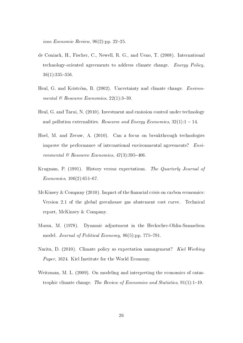ican Economic Review,  $96(2):pp. 22-25$ .

- de Coninck, H., Fischer, C., Newell, R. G., and Ueno, T. (2008). International technology-oriented agreements to address climate change. Energy Policy,  $36(1):335-356.$
- Heal, G. and Kriström, B. (2002). Uncertainty and climate change. Environmental  $\mathcal B$  Resource Economics, 22(1):3-39.
- Heal, G. and Tarui, N. (2010). Investment and emission control under technology and pollution externalities. Resource and Energy Economics,  $32(1)$ : 1 – 14.
- Hoel, M. and Zeeuw, A. (2010). Can a focus on breakthrough technologies improve the performance of international environmental agreements? Environmental  $\mathcal B$  Resource Economics, 47(3):395-406.
- Krugman, P. (1991). History versus expectations. The Quarterly Journal of  $Economics, 106(2):651-67.$
- McKinsey & Company  $(2010)$ . Impact of the financial crisis on carbon economics: Version 2.1 of the global greenhouse gas abatement cost curve. Technical report, McKinsey & Company.
- Mussa, M. (1978). Dynamic adjustment in the Heckscher-Ohlin-Samuelson model. Journal of Political Economy,  $86(5)$ :pp. 775-791.
- Narita, D. (2010). Climate policy as expectation management? Kiel Working Paper, 1624. Kiel Institute for the World Economy.
- Weitzman, M. L. (2009). On modeling and interpreting the economics of catastrophic climate change. The Review of Economics and Statistics,  $91(1):1-19$ .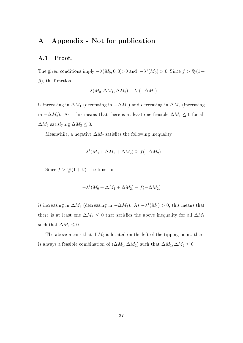## A Appendix - Not for publication

#### A.1 Proof.

The given conditions imply  $-\lambda(M_0, 0, 0) > 0$  and  $. -\lambda^1(M_0) > 0$ . Since  $f > \frac{c_x}{N}(1 +$  $\beta$ ), the function

$$
-\lambda(M_0, \Delta M_1, \Delta M_2) - \lambda^1(-\Delta M_1)
$$

is increasing in  $\Delta M_1$  (decreasing in  $-\Delta M_1$ ) and decreasing in  $\Delta M_2$  (increasing in  $-\Delta M_2$ ). As, this means that there is at least one feasible  $\Delta M_1 \leq 0$  for all  $\Delta M_2$  satisfying  $\Delta M_2 \leq 0$ .

Meanwhile, a negative  $\Delta M_2$  satisfies the following inequality

$$
-\lambda^1(M_0 + \Delta M_1 + \Delta M_2) \ge f(-\Delta M_2)
$$

Since  $f > \frac{c_x}{N}(1+\beta)$ , the function

$$
-\lambda^1(M_0 + \Delta M_1 + \Delta M_2) - f(-\Delta M_2)
$$

is increasing in  $\Delta M_2$  (decreasing in  $-\Delta M_2$ ). As  $-\lambda^1(M_1) > 0$ , this means that there is at least one  $\Delta M_2 \leq 0$  that satisfies the above inequality for all  $\Delta M_1$ such that  $\Delta M_1 \leq 0$ .

The above means that if  $M_0$  is located on the left of the tipping point, there is always a feasible combination of  $(\Delta M_1, \Delta M_2)$  such that  $\Delta M_1, \Delta M_2 \leq 0$ .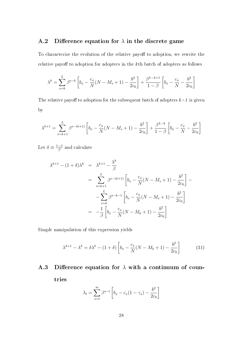#### A.2 Difference equation for  $\lambda$  in the discrete game

To characterize the evolution of the relative payoff to adoption, we rewrite the relative payoff to adoption for adopters in the  $k$ th batch of adopters as follows

$$
\lambda^{k} = \sum_{s=k}^{L} \beta^{s-k} \left[ b_{x} - \frac{c_{x}}{N} (N - M_{s} + 1) - \frac{b^{2}}{2c_{0}} \right] + \frac{\beta^{L-k+1}}{1 - \beta} \left[ b_{x} - \frac{c_{x}}{N} - \frac{b^{2}}{2c_{0}} \right]
$$

The relative payoff to adoption for the subsequent batch of adopters  $k+1$  is given by

$$
\lambda^{k+1} = \sum_{s=k+1}^{L} \beta^{s-(k+1)} \left[ b_x - \frac{c_x}{N} (N - M_s + 1) - \frac{b^2}{2c_0} \right] + \frac{\beta^{L-k}}{1-\beta} \left[ b_x - \frac{c_x}{N} - \frac{b^2}{2c_0} \right]
$$

Let  $\delta \equiv \frac{1-\beta}{\beta}$  $\frac{-\beta}{\beta}$  and calculate

$$
\lambda^{k+1} - (1+\delta)\lambda^k = \lambda^{k+1} - \frac{\lambda^k}{\beta}
$$
  
= 
$$
\sum_{s=k+1}^{L} \beta^{s-(k+1)} \left[ b_x - \frac{c_x}{N}(N - M_s + 1) - \frac{b^2}{2c_0} \right] -
$$
  
- 
$$
\sum_{s=k}^{L} \beta^{s-k-1} \left[ b_x - \frac{c_x}{N}(N - M_s + 1) - \frac{b^2}{2c_0} \right]
$$
  
= 
$$
-\frac{1}{\beta} \left[ b_x - \frac{c_x}{N}(N - M_k + 1) - \frac{b^2}{2c_0} \right]
$$

Simple manipulation of this expression yields

$$
\lambda^{k+1} - \lambda^k = \delta \lambda^k - (1+\delta) \left[ b_x - \frac{c_x}{N} (N - M_k + 1) - \frac{b^2}{2c_0} \right]
$$
 (31)

# A.3 Difference equation for  $\lambda$  with a continuum of coun-

tries

$$
\lambda_t = \sum_{s=t}^{\infty} \beta^{s-t} \left[ b_x - c_x (1 - \gamma_s) - \frac{b^2}{2c_0} \right]
$$